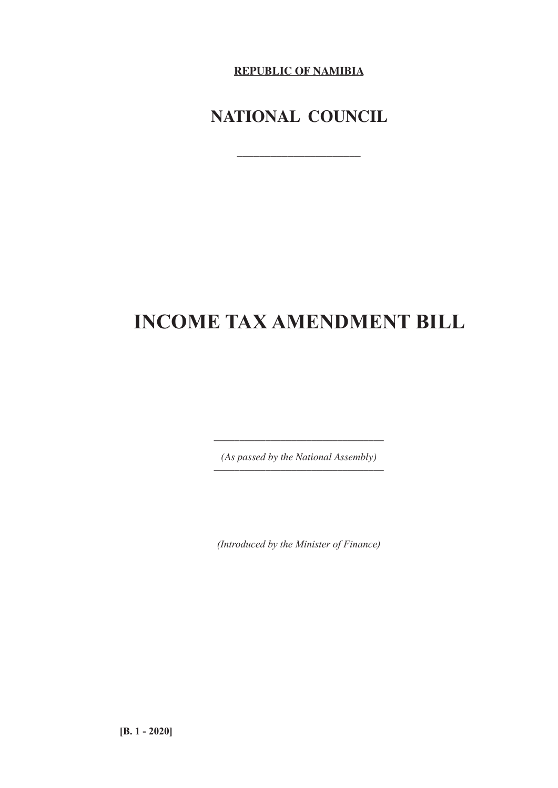**REPUBLIC OF NAMIBIA**

## **NATIONAL COUNCIL**

**\_\_\_\_\_\_\_\_\_\_\_\_\_\_\_\_\_\_\_\_\_\_**

# **INCOME TAX AMENDMENT BILL**

*(As passed by the National Assembly) \_\_\_\_\_\_\_\_\_\_\_\_\_\_\_\_\_\_\_\_\_\_\_\_\_\_\_\_\_\_\_\_\_*

*\_\_\_\_\_\_\_\_\_\_\_\_\_\_\_\_\_\_\_\_\_\_\_\_\_\_\_\_\_\_\_\_\_*

*(Introduced by the Minister of Finance)*

**[B. 1 - 2020]**